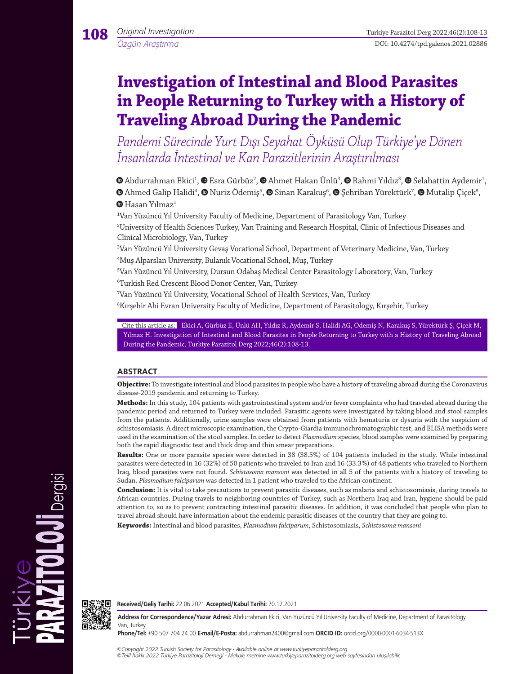# **Investigation of Intestinal and Blood Parasites in People Returning to Turkey with a History of Traveling Abroad During the Pandemic**

*Pandemi Sürecinde Yurt Dışı Seyahat Öyküsü Olup Türkiye'ye Dönen İnsanlarda İntestinal ve Kan Parazitlerinin Araştırılması*

AbdurrahmanEkici<sup>1</sup>,  $\bullet$  Esra Gürbüz<sup>2</sup>,  $\bullet$  [A](https://orcid.org/0000-0003-3441-8504)hmet Hakan Ünlü<sup>3</sup>,  $\bullet$  Rahmi Yıldız<sup>3</sup>,  $\bullet$  Selahattin Aydemir<sup>1</sup>, AhmedGalip Halidi<sup>4</sup>, **©** Nuriz Ödemiş<sup>5</sup>, **©** Sinan Karakuş<sup>6</sup>, **©** [Ş](https://orcid.org/0000-0003-4902-0689)ehriban Yürektürk<sup>7</sup>, **©** Mutalip Çiçek<sup>8</sup>,  $\mathbf{\Theta}$ Hasan Yılmaz<sup>1</sup>

1 Van Yüzüncü Yıl University Faculty of Medicine, Department of Parasitology Van, Turkey 2 University of Health Sciences Turkey, Van Training and Research Hospital, Clinic of Infectious Diseases and Clinical Microbiology, Van, Turkey

3 Van Yüzüncü Yıl University Gevaş Vocational School, Department of Veterinary Medicine, Van, Turkey 4 Muş Alparslan University, Bulanık Vocational School, Muş, Turkey

5 Van Yüzüncü Yıl University, Dursun Odabaş Medical Center Parasitology Laboratory, Van, Turkey 6 Turkish Red Crescent Blood Donor Center, Van, Turkey

7 Van Yüzüncü Yıl University, Vocational School of Health Services, Van, Turkey

 $\mathrm{^{8}K}$ ırşehir Ahi Evran University Faculty of Medicine, Department of Parasitology, Kırşehir, Turkey

Cite this article as: Ekici A, Gürbüz E, Ünlü AH, Yıldız R, Aydemir S, Halidi AG, Ödemiş N, Karakuş S, Yürektürk Ş, Çiçek M, Yılmaz H. Investigation of Intestinal and Blood Parasites in People Returning to Turkey with a History of Traveling Abroad During the Pandemic. Turkiye Parazitol Derg 2022;46(2):108-13.

## **ABSTRACT**

**Objective:** To investigate intestinal and blood parasites in people who have a history of traveling abroad during the Coronavirus disease-2019 pandemic and returning to Turkey.

**Methods:** In this study, 104 patients with gastrointestinal system and/or fever complaints who had traveled abroad during the pandemic period and returned to Turkey were included. Parasitic agents were investigated by taking blood and stool samples from the patients. Additionally, urine samples were obtained from patients with hematuria or dysuria with the suspicion of schistosomiasis. A direct microscopic examination, the Crypto-Giardia immunochromatographic test, and ELISA methods were used in the examination of the stool samples. In order to detect *Plasmodium* species, blood samples were examined by preparing both the rapid diagnostic test and thick drop and thin smear preparations.

**Results:** One or more parasite species were detected in 38 (38.5%) of 104 patients included in the study. While intestinal parasites were detected in 16 (32%) of 50 patients who traveled to Iran and 16 (33.3%) of 48 patients who traveled to Northern Iraq, blood parasites were not found. *Schistosoma mansoni* was detected in all 5 of the patients with a history of traveling to Sudan. *Plasmodium falciparum* was detected in 1 patient who traveled to the African continent.

**Conclusion:** It is vital to take precautions to prevent parasitic diseases, such as malaria and schistosomiasis, during travels to African countries. During travels to neighboring countries of Turkey, such as Northern Iraq and Iran, hygiene should be paid attention to, so as to prevent contracting intestinal parasitic diseases. In addition, it was concluded that people who plan to travel abroad should have information about the endemic parasitic diseases of the country that they are going to.

**Keywords:** Intestinal and blood parasites, *Plasmodium falciparum*, Schistosomiasis, *Schistosoma mansoni*



**Received/Geliş Tarihi:** 22.06.2021 **Accepted/Kabul Tarihi:** 20.12.2021

**Address for Correspondence/Yazar Adresi:** Abdurrahman Ekici, Van Yüzüncü Yıl University Faculty of Medicine, Department of Parasitology Van, Turkey

**Phone/Tel:** +90 507 704 24 00 **E-mail/E-Posta:** abdurrahman2400@gmail.com **ORCID ID:** orcid.org/0000-0001-6034-513X

*©Copyright 2022 Turkish Society for Parasitology - Available online at www.turkiyeparazitolderg.org ©Telif hakkı 2022 Türkiye Parazitoloji Derneği - Makale metnine www.turkiyeparazitolderg.org web sayfasından ulaşılabilir.*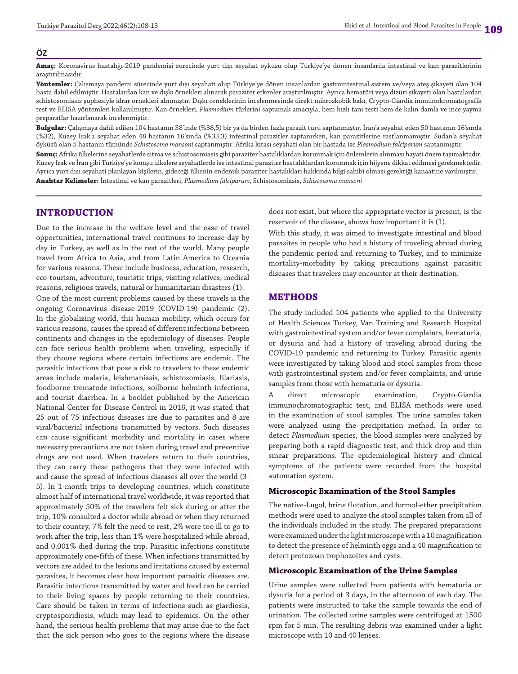#### **ÖZ**

**Amaç:** Koronavirüs hastalığı-2019 pandemisi sürecinde yurt dışı seyahat öyküsü olup Türkiye'ye dönen insanlarda intestinal ve kan parazitlerinin araştırılmasıdır.

**Yöntemler:** Çalışmaya pandemi sürecinde yurt dışı seyahati olup Türkiye'ye dönen insanlardan gastrointestinal sistem ve/veya ateş şikayeti olan 104 hasta dahil edilmiştir. Hastalardan kan ve dışkı örnekleri alınarak paraziter etkenler araştırılmıştır. Ayrıca hematüri veya dizüri şikayeti olan hastalardan schistosomiasis şüphesiyle idrar örnekleri alınmıştır. Dışkı örneklerinin incelenmesinde direkt mikroskobik bakı, Crypto-Giardia immünokromatografik test ve ELISA yöntemleri kullanılmıştır. Kan örnekleri, *Plasmodium* türlerini saptamak amacıyla, hem hızlı tanı testi hem de kalın damla ve ince yayma preparatlar hazırlanarak incelenmiştir.

**Bulgular:** Çalışmaya dahil edilen 104 hastanın 38'inde (%38,5) bir ya da birden fazla parazit türü saptanmıştır. İran'a seyahat eden 50 hastanın 16'sında (%32), Kuzey Irak'a seyahat eden 48 hastanın 16'sında (%33,3) intestinal parazitler saptanırken, kan parazitlerine rastlanmamıştır. Sudan'a seyahat öyküsü olan 5 hastanın tümünde *Schistosoma mansoni* saptanmıştır. Afrika kıtası seyahati olan bir hastada ise *Plasmodium falciparum* saptanmıştır.

**Sonuç:** Afrika ülkelerine seyahatlerde sıtma ve schistosomiasis gibi paraziter hastalıklardan korunmak için önlemlerin alınması hayati önem taşımaktadır. Kuzey Irak ve İran gibi Türkiye'ye komşu ülkelere seyahatlerde ise intestinal paraziter hastalıklardan korunmak için hijyene dikkat edilmesi gerekmektedir. Ayrıca yurt dışı seyahati planlayan kişilerin, gideceği ülkenin endemik paraziter hastalıkları hakkında bilgi sahibi olması gerektiği kanaatine varılmıştır. **Anahtar Kelimeler:** İntestinal ve kan parazitleri, *Plasmodium falciparum*, Schistosomiasis, *Schistosoma mansoni*

## **INTRODUCTION**

Due to the increase in the welfare level and the ease of travel opportunities, international travel continues to increase day by day in Turkey, as well as in the rest of the world. Many people travel from Africa to Asia, and from Latin America to Oceania for various reasons. These include business, education, research, eco-tourism, adventure, touristic trips, visiting relatives, medical reasons, religious travels, natural or humanitarian disasters (1).

One of the most current problems caused by these travels is the ongoing Coronavirus disease-2019 (COVID-19) pandemic (2). In the globalizing world, this human mobility, which occurs for various reasons, causes the spread of different infections between continents and changes in the epidemiology of diseases. People can face serious health problems when traveling, especially if they choose regions where certain infections are endemic. The parasitic infections that pose a risk to travelers to these endemic areas include malaria, leishmaniasis, schistosomiasis, filariasis, foodborne trematode infections, soilborne helminth infections, and tourist diarrhea. In a booklet published by the American National Center for Disease Control in 2016, it was stated that 25 out of 75 infectious diseases are due to parasites and 8 are viral/bacterial infections transmitted by vectors. Such diseases can cause significant morbidity and mortality in cases where necessary precautions are not taken during travel and preventive drugs are not used. When travelers return to their countries, they can carry these pathogens that they were infected with and cause the spread of infectious diseases all over the world (3- 5). In 1-month trips to developing countries, which constitute almost half of international travel worldwide, it was reported that approximately 50% of the travelers felt sick during or after the trip, 10% consulted a doctor while abroad or when they returned to their country, 7% felt the need to rest, 2% were too ill to go to work after the trip, less than 1% were hospitalized while abroad, and 0.001% died during the trip. Parasitic infections constitute approximately one-fifth of these. When infections transmitted by vectors are added to the lesions and irritations caused by external parasites, it becomes clear how important parasitic diseases are. Parasitic infections transmitted by water and food can be carried to their living spaces by people returning to their countries. Care should be taken in terms of infections such as giardiosis, cryptosporidiosis, which may lead to epidemics. On the other hand, the serious health problems that may arise due to the fact that the sick person who goes to the regions where the disease does not exist, but where the appropriate vector is present, is the reservoir of the disease, shows how important it is (1).

With this study, it was aimed to investigate intestinal and blood parasites in people who had a history of traveling abroad during the pandemic period and returning to Turkey, and to minimize mortality-morbidity by taking precautions against parasitic diseases that travelers may encounter at their destination.

### **METHODS**

The study included 104 patients who applied to the University of Health Sciences Turkey, Van Training and Research Hospital with gastrointestinal system and/or fever complaints, hematuria, or dysuria and had a history of traveling abroad during the COVID-19 pandemic and returning to Turkey. Parasitic agents were investigated by taking blood and stool samples from those with gastrointestinal system and/or fever complaints, and urine samples from those with hematuria or dysuria.

A direct microscopic examination, Crypto-Giardia immunochromatographic test, and ELISA methods were used in the examination of stool samples. The urine samples taken were analyzed using the precipitation method. In order to detect *Plasmodium* species, the blood samples were analyzed by preparing both a rapid diagnostic test, and thick drop and thin smear preparations. The epidemiological history and clinical symptoms of the patients were recorded from the hospital automation system.

### **Microscopic Examination of the Stool Samples**

The native-Lugol, brine flotation, and formol-ether precipitation methods were used to analyze the stool samples taken from all of the individuals included in the study. The prepared preparations were examined under the light microscope with a 10 magnification to detect the presence of helminth eggs and a 40 magnification to detect protozoan trophozoites and cysts.

#### **Microscopic Examination of the Urine Samples**

Urine samples were collected from patients with hematuria or dysuria for a period of 3 days, in the afternoon of each day. The patients were instructed to take the sample towards the end of urination. The collected urine samples were centrifuged at 1500 rpm for 5 min. The resulting debris was examined under a light microscope with 10 and 40 lenses.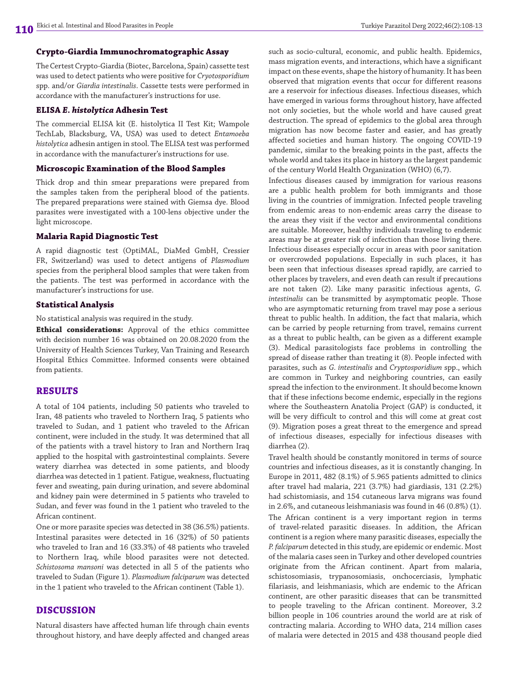#### **Crypto-Giardia Immunochromatographic Assay**

The Certest Crypto-Giardia (Biotec, Barcelona, Spain) cassette test was used to detect patients who were positive for *Cryotosporidium* spp. and/or *Giardia intestinalis*. Cassette tests were performed in accordance with the manufacturer's instructions for use.

## **ELISA** *E. histolytica* **Adhesin Test**

The commercial ELISA kit (E. histolytica II Test Kit; Wampole TechLab, Blacksburg, VA, USA) was used to detect *Entamoeba histolytica* adhesin antigen in stool. The ELISA test was performed in accordance with the manufacturer's instructions for use.

#### **Microscopic Examination of the Blood Samples**

Thick drop and thin smear preparations were prepared from the samples taken from the peripheral blood of the patients. The prepared preparations were stained with Giemsa dye. Blood parasites were investigated with a 100-lens objective under the light microscope.

#### **Malaria Rapid Diagnostic Test**

A rapid diagnostic test (OptiMAL, DiaMed GmbH, Cressier FR, Switzerland) was used to detect antigens of *Plasmodium* species from the peripheral blood samples that were taken from the patients. The test was performed in accordance with the manufacturer's instructions for use.

#### **Statistical Analysis**

No statistical analysis was required in the study.

**Ethical considerations:** Approval of the ethics committee with decision number 16 was obtained on 20.08.2020 from the University of Health Sciences Turkey, Van Training and Research Hospital Ethics Committee. Informed consents were obtained from patients.

## **RESULTS**

A total of 104 patients, including 50 patients who traveled to Iran, 48 patients who traveled to Northern Iraq, 5 patients who traveled to Sudan, and 1 patient who traveled to the African continent, were included in the study. It was determined that all of the patients with a travel history to Iran and Northern Iraq applied to the hospital with gastrointestinal complaints. Severe watery diarrhea was detected in some patients, and bloody diarrhea was detected in 1 patient. Fatigue, weakness, fluctuating fever and sweating, pain during urination, and severe abdominal and kidney pain were determined in 5 patients who traveled to Sudan, and fever was found in the 1 patient who traveled to the African continent.

One or more parasite species was detected in 38 (36.5%) patients. Intestinal parasites were detected in 16 (32%) of 50 patients who traveled to Iran and 16 (33.3%) of 48 patients who traveled to Northern Iraq, while blood parasites were not detected. *Schistosoma mansoni* was detected in all 5 of the patients who traveled to Sudan (Figure 1). *Plasmodium falciparum* was detected in the 1 patient who traveled to the African continent (Table 1).

## **DISCUSSION**

Natural disasters have affected human life through chain events throughout history, and have deeply affected and changed areas such as socio-cultural, economic, and public health. Epidemics, mass migration events, and interactions, which have a significant impact on these events, shape the history of humanity. It has been observed that migration events that occur for different reasons are a reservoir for infectious diseases. Infectious diseases, which have emerged in various forms throughout history, have affected not only societies, but the whole world and have caused great destruction. The spread of epidemics to the global area through migration has now become faster and easier, and has greatly affected societies and human history. The ongoing COVID-19 pandemic, similar to the breaking points in the past, affects the whole world and takes its place in history as the largest pandemic of the century World Health Organization (WHO) (6,7).

Infectious diseases caused by immigration for various reasons are a public health problem for both immigrants and those living in the countries of immigration. Infected people traveling from endemic areas to non-endemic areas carry the disease to the areas they visit if the vector and environmental conditions are suitable. Moreover, healthy individuals traveling to endemic areas may be at greater risk of infection than those living there. Infectious diseases especially occur in areas with poor sanitation or overcrowded populations. Especially in such places, it has been seen that infectious diseases spread rapidly, are carried to other places by travelers, and even death can result if precautions are not taken (2). Like many parasitic infectious agents, *G. intestinalis* can be transmitted by asymptomatic people. Those who are asymptomatic returning from travel may pose a serious threat to public health. In addition, the fact that malaria, which can be carried by people returning from travel, remains current as a threat to public health, can be given as a different example (3). Medical parasitologists face problems in controlling the spread of disease rather than treating it (8). People infected with parasites, such as *G. intestinalis* and *Cryptosporidium* spp., which are common in Turkey and neighboring countries, can easily spread the infection to the environment. It should become known that if these infections become endemic, especially in the regions where the Southeastern Anatolia Project (GAP) is conducted, it will be very difficult to control and this will come at great cost (9). Migration poses a great threat to the emergence and spread of infectious diseases, especially for infectious diseases with diarrhea (2).

Travel health should be constantly monitored in terms of source countries and infectious diseases, as it is constantly changing. In Europe in 2011, 482 (8.1%) of 5.965 patients admitted to clinics after travel had malaria, 221 (3.7%) had giardiasis, 131 (2.2%) had schistomiasis, and 154 cutaneous larva migrans was found in 2.6%, and cutaneous leishmaniasis was found in 46 (0.8%) (1). The African continent is a very important region in terms of travel-related parasitic diseases. In addition, the African continent is a region where many parasitic diseases, especially the *P. falciparum* detected in this study, are epidemic or endemic. Most of the malaria cases seen in Turkey and other developed countries originate from the African continent. Apart from malaria, schistosomiasis, trypanosomiasis, onchocerciasis, lymphatic filariasis, and leishmaniasis, which are endemic to the African continent, are other parasitic diseases that can be transmitted to people traveling to the African continent. Moreover, 3.2 billion people in 106 countries around the world are at risk of contracting malaria. According to WHO data, 214 million cases of malaria were detected in 2015 and 438 thousand people died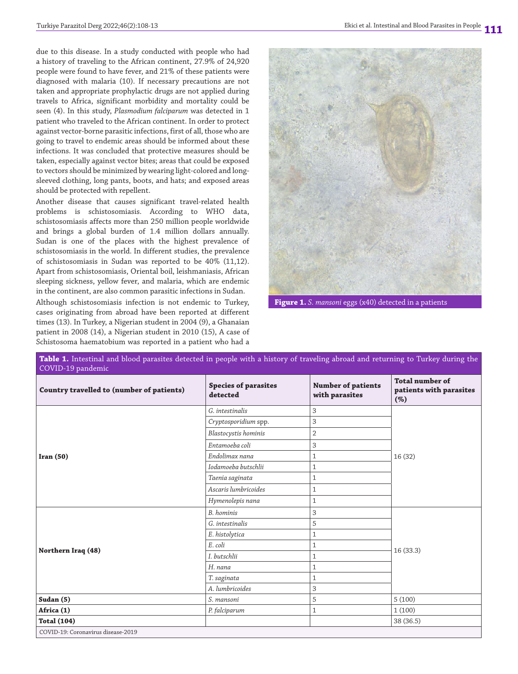due to this disease. In a study conducted with people who had a history of traveling to the African continent, 27.9% of 24,920 people were found to have fever, and 21% of these patients were diagnosed with malaria (10). If necessary precautions are not taken and appropriate prophylactic drugs are not applied during travels to Africa, significant morbidity and mortality could be seen (4). In this study, *Plasmodium falciparum* was detected in 1 patient who traveled to the African continent. In order to protect against vector-borne parasitic infections, first of all, those who are going to travel to endemic areas should be informed about these infections. It was concluded that protective measures should be taken, especially against vector bites; areas that could be exposed to vectors should be minimized by wearing light-colored and longsleeved clothing, long pants, boots, and hats; and exposed areas should be protected with repellent.

Another disease that causes significant travel-related health problems is schistosomiasis. According to WHO data, schistosomiasis affects more than 250 million people worldwide and brings a global burden of 1.4 million dollars annually. Sudan is one of the places with the highest prevalence of schistosomiasis in the world. In different studies, the prevalence of schistosomiasis in Sudan was reported to be 40% (11,12). Apart from schistosomiasis, Oriental boil, leishmaniasis, African sleeping sickness, yellow fever, and malaria, which are endemic in the continent, are also common parasitic infections in Sudan.

Although schistosomiasis infection is not endemic to Turkey, cases originating from abroad have been reported at different times (13). In Turkey, a Nigerian student in 2004 (9), a Ghanaian patient in 2008 (14), a Nigerian student in 2010 (15), A case of Schistosoma haematobium was reported in a patient who had a



**Figure 1.** *S. mansoni* eggs (x40) detected in a patients

| Table 1. Intestinal and blood parasites detected in people with a history of traveling abroad and returning to Turkey during the<br>COVID-19 pandemic |                                         |                                             |                                                             |
|-------------------------------------------------------------------------------------------------------------------------------------------------------|-----------------------------------------|---------------------------------------------|-------------------------------------------------------------|
| <b>Country travelled to (number of patients)</b>                                                                                                      | <b>Species of parasites</b><br>detected | <b>Number of patients</b><br>with parasites | <b>Total number of</b><br>patients with parasites<br>$(\%)$ |
| Iran(50)                                                                                                                                              | G. intestinalis                         | 3                                           | 16 (32)                                                     |
|                                                                                                                                                       | Cryptosporidium spp.                    | 3                                           |                                                             |
|                                                                                                                                                       | <b>Blastocystis</b> hominis             | $\overline{2}$                              |                                                             |
|                                                                                                                                                       | Entamoeba coli                          | 3                                           |                                                             |
|                                                                                                                                                       | Endolimax nana                          | $\mathbf{1}$                                |                                                             |
|                                                                                                                                                       | Iodamoeba butschlii                     | $\mathbf{1}$                                |                                                             |
|                                                                                                                                                       | Taenia saginata                         | $\mathbf{1}$                                |                                                             |
|                                                                                                                                                       | Ascaris lumbricoides                    | $\mathbf{1}$                                |                                                             |
|                                                                                                                                                       | Hymenolepis nana                        | $\mathbf{1}$                                |                                                             |
| Northern Iraq (48)                                                                                                                                    | B. hominis                              | 3                                           | 16(33.3)                                                    |
|                                                                                                                                                       | G. intestinalis                         | 5                                           |                                                             |
|                                                                                                                                                       | E. histolytica                          | $\mathbf{1}$                                |                                                             |
|                                                                                                                                                       | E. coli                                 | $\mathbf{1}$                                |                                                             |
|                                                                                                                                                       | I. butschlii                            | $\mathbf{1}$                                |                                                             |
|                                                                                                                                                       | H. nana                                 | $\mathbf{1}$                                |                                                             |
|                                                                                                                                                       | T. saginata                             | $\mathbf{1}$                                |                                                             |
|                                                                                                                                                       | A. lumbricoides                         | 3                                           |                                                             |
| Sudan (5)                                                                                                                                             | S. mansoni                              | 5                                           | 5(100)                                                      |
| Africa (1)                                                                                                                                            | P. falciparum                           | $\mathbf{1}$                                | 1(100)                                                      |
| <b>Total (104)</b>                                                                                                                                    |                                         |                                             | 38 (36.5)                                                   |
| COVID-19: Coronavirus disease-2019                                                                                                                    |                                         |                                             |                                                             |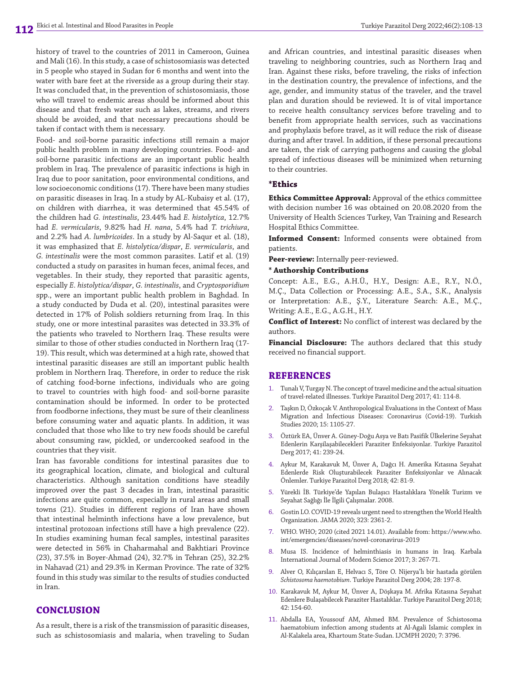history of travel to the countries of 2011 in Cameroon, Guinea and Mali (16). In this study, a case of schistosomiasis was detected in 5 people who stayed in Sudan for 6 months and went into the water with bare feet at the riverside as a group during their stay. It was concluded that, in the prevention of schistosomiasis, those who will travel to endemic areas should be informed about this disease and that fresh water such as lakes, streams, and rivers should be avoided, and that necessary precautions should be taken if contact with them is necessary.

Food- and soil-borne parasitic infections still remain a major public health problem in many developing countries. Food- and soil-borne parasitic infections are an important public health problem in Iraq. The prevalence of parasitic infections is high in Iraq due to poor sanitation, poor environmental conditions, and low socioeconomic conditions (17). There have been many studies on parasitic diseases in Iraq. In a study by AL-Kubaisy et al. (17), on children with diarrhea, it was determined that 45.54% of the children had *G. intestinalis*, 23.44% had *E. histolytica*, 12.7% had *E. vermicularis*, 9.82% had *H. nana*, 5.4% had *T. trichiura*, and 2.2% had *A*. *lumbricoides*. In a study by Al-Saqur et al. (18), it was emphasized that *E. histolytica/dispar*, *E. vermicularis*, and *G. intestinalis* were the most common parasites. Latif et al. (19) conducted a study on parasites in human feces, animal feces, and vegetables. In their study, they reported that parasitic agents, especially *E. histolytica/dispar*, *G. intestinalis*, and *Cryptosporidium* spp., were an important public health problem in Baghdad. In a study conducted by Duda et al. (20), intestinal parasites were detected in 17% of Polish soldiers returning from Iraq. In this study, one or more intestinal parasites was detected in 33.3% of the patients who traveled to Northern Iraq. These results were similar to those of other studies conducted in Northern Iraq (17- 19). This result, which was determined at a high rate, showed that intestinal parasitic diseases are still an important public health problem in Northern Iraq. Therefore, in order to reduce the risk of catching food-borne infections, individuals who are going to travel to countries with high food- and soil-borne parasite contamination should be informed. In order to be protected from foodborne infections, they must be sure of their cleanliness before consuming water and aquatic plants. In addition, it was concluded that those who like to try new foods should be careful about consuming raw, pickled, or undercooked seafood in the countries that they visit.

Iran has favorable conditions for intestinal parasites due to its geographical location, climate, and biological and cultural characteristics. Although sanitation conditions have steadily improved over the past 3 decades in Iran, intestinal parasitic infections are quite common, especially in rural areas and small towns (21). Studies in different regions of Iran have shown that intestinal helminth infections have a low prevalence, but intestinal protozoan infections still have a high prevalence (22). In studies examining human fecal samples, intestinal parasites were detected in 56% in Chaharmahal and Bakhtiari Province (23), 37.5% in Boyer-Ahmad (24), 32.7% in Tehran (25), 32.2% in Nahavad (21) and 29.3% in Kerman Province. The rate of 32% found in this study was similar to the results of studies conducted in Iran.

## **CONCLUSION**

As a result, there is a risk of the transmission of parasitic diseases, such as schistosomiasis and malaria, when traveling to Sudan

and African countries, and intestinal parasitic diseases when traveling to neighboring countries, such as Northern Iraq and Iran. Against these risks, before traveling, the risks of infection in the destination country, the prevalence of infections, and the age, gender, and immunity status of the traveler, and the travel plan and duration should be reviewed. It is of vital importance to receive health consultancy services before traveling and to benefit from appropriate health services, such as vaccinations and prophylaxis before travel, as it will reduce the risk of disease during and after travel. In addition, if these personal precautions are taken, the risk of carrying pathogens and causing the global spread of infectious diseases will be minimized when returning to their countries.

#### **\*Ethics**

**Ethics Committee Approval:** Approval of the ethics committee with decision number 16 was obtained on 20.08.2020 from the University of Health Sciences Turkey, Van Training and Research Hospital Ethics Committee.

**Informed Consent:** Informed consents were obtained from patients.

**Peer-review:** Internally peer-reviewed.

#### **\* Authorship Contributions**

Concept: A.E., E.G., A.H.Ü., H.Y., Design: A.E., R.Y., N.Ö., M.Ç., Data Collection or Processing: A.E., S.A., S.K., Analysis or Interpretation: A.E., Ş.Y., Literature Search: A.E., M.Ç., Writing: A.E., E.G., A.G.H., H.Y.

**Conflict of Interest:** No conflict of interest was declared by the authors.

**Financial Disclosure:** The authors declared that this study received no financial support.

#### **REFERENCES**

- 1. Tunalı V, Turgay N. The concept of travel medicine and the actual situation of travel-related illnesses. Turkiye Parazitol Derg 2017; 41: 114-8.
- Taşkın D, Özkoçak V. Anthropological Evaluations in the Context of Mass Migration and Infectious Diseases: Coronavirus (Covid-19). Turkish Studies 2020; 15: 1105-27.
- 3. Öztürk EA, Ünver A. Güney-Doğu Asya ve Batı Pasifik Ülkelerine Seyahat Edenlerin Karşilaşabilecekleri Paraziter Enfeksiyonlar. Turkiye Parazitol Derg 2017; 41: 239-24.
- 4. Aykur M, Karakavuk M, Ünver A, Dağcı H. Amerika Kıtasına Seyahat Edenlerde Risk Oluşturabilecek Paraziter Enfeksiyonlar ve Alınacak Önlemler. Turkiye Parazitol Derg 2018; 42: 81-9.
- 5. Yürekli İB. Türkiye'de Yapılan Bulaşıcı Hastalıklara Yönelik Turizm ve Seyahat Sağlığı İle İlgili Çalışmalar. 2008.
- 6. Gostin LO. COVID-19 reveals urgent need to strengthen the World Health Organization. JAMA 2020; 323: 2361-2.
- 7. WHO. WHO; 2020 (cited 2021 14.01). Available from: https://www.who. int/emergencies/diseases/novel-coronavirus-2019
- 8. Musa IS. Incidence of helminthiasis in humans in Iraq. Karbala International Journal of Modern Science 2017; 3: 267-71.
- 9. Alver O, Kılıçarslan E, Helvacı S, Töre O. Nijerya'lı bir hastada görülen *Schistosoma haemotobium*. Turkiye Parazitol Derg 2004; 28: 197-8.
- 10. Karakavuk M, Aykur M, Ünver A, Döşkaya M. Afrika Kıtasına Seyahat Edenlere Bulaşabilecek Paraziter Hastalıklar. Turkiye Parazitol Derg 2018;  $42.154 - 60$
- 11. Abdalla EA, Youssouf AM, Ahmed BM. Prevalence of Schistosoma haematobium infection among students at Al-Agali Islamic complex in Al-Kalakela area, Khartoum State-Sudan. IJCMPH 2020; 7: 3796.